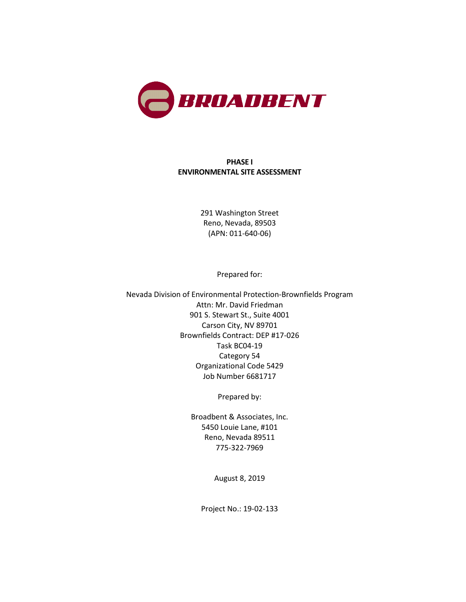

#### **PHASE I ENVIRONMENTAL SITE ASSESSMENT**

291 Washington Street Reno, Nevada, 89503 (APN: 011-640-06)

Prepared for:

Nevada Division of Environmental Protection-Brownfields Program Attn: Mr. David Friedman 901 S. Stewart St., Suite 4001 Carson City, NV 89701 Brownfields Contract: DEP #17-026 Task BC04-19 Category 54 Organizational Code 5429 Job Number 6681717

Prepared by:

Broadbent & Associates, Inc. 5450 Louie Lane, #101 Reno, Nevada 89511 775-322-7969

August 8, 2019

Project No.: 19-02-133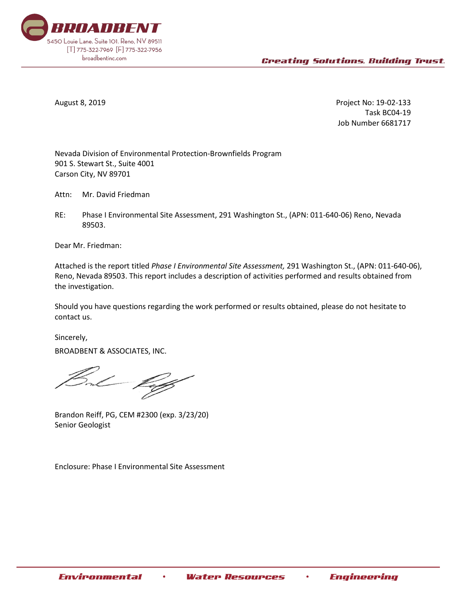

August 8, 2019 Project No: 19-02-133 Task BC04-19 Job Number 6681717

Nevada Division of Environmental Protection-Brownfields Program 901 S. Stewart St., Suite 4001 Carson City, NV 89701

Attn: Mr. David Friedman

RE: Phase I Environmental Site Assessment, 291 Washington St., (APN: 011-640-06) Reno, Nevada 89503.

Dear Mr. Friedman:

Attached is the report titled *Phase I Environmental Site Assessment,* 291 Washington St., (APN: 011-640-06), Reno, Nevada 89503. This report includes a description of activities performed and results obtained from the investigation.

Should you have questions regarding the work performed or results obtained, please do not hesitate to contact us.

Sincerely,

BROADBENT & ASSOCIATES, INC.

Brandon Reiff, PG, CEM #2300 (exp. 3/23/20) Senior Geologist

Enclosure: Phase I Environmental Site Assessment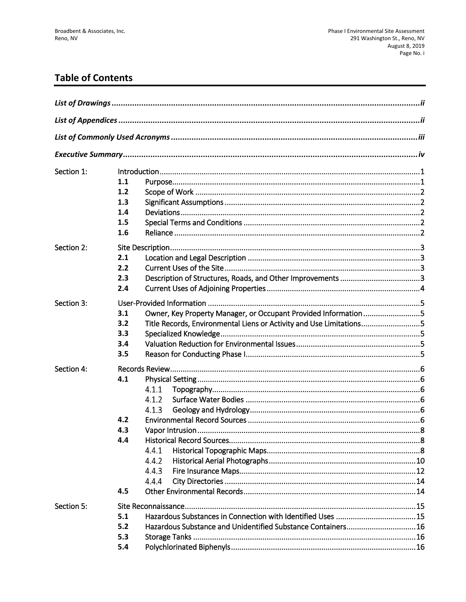# **Table of Contents**

| Section 1: |                                                                            |
|------------|----------------------------------------------------------------------------|
|            | 1.1                                                                        |
|            | 1.2                                                                        |
|            | 1.3                                                                        |
|            | 1.4                                                                        |
|            | 1.5                                                                        |
|            | 1.6                                                                        |
| Section 2: |                                                                            |
|            | 2.1                                                                        |
|            | 2.2                                                                        |
|            | 2.3                                                                        |
|            | 2.4                                                                        |
| Section 3: |                                                                            |
|            | Owner, Key Property Manager, or Occupant Provided Information 5<br>3.1     |
|            | Title Records, Environmental Liens or Activity and Use Limitations5<br>3.2 |
|            | 3.3                                                                        |
|            | 3.4                                                                        |
|            | 3.5                                                                        |
| Section 4: |                                                                            |
|            | 4.1                                                                        |
|            | 4.1.1                                                                      |
|            | 4.1.2                                                                      |
|            | 4.1.3                                                                      |
|            | 4.2                                                                        |
|            | 4.3                                                                        |
|            | 4.4                                                                        |
|            | 4.4.1                                                                      |
|            | 4.4.2                                                                      |
|            | 4.4.3                                                                      |
|            | 4.4.4                                                                      |
|            | 4.5                                                                        |
| Section 5: |                                                                            |
|            | 5.1                                                                        |
|            | Hazardous Substance and Unidentified Substance Containers16<br>5.2         |
|            | 5.3                                                                        |
|            | 5.4                                                                        |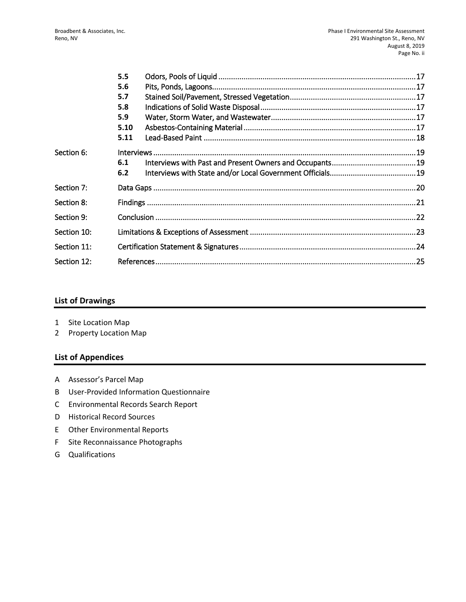|             | 5.5  |  |  |  |
|-------------|------|--|--|--|
|             | 5.6  |  |  |  |
|             | 5.7  |  |  |  |
|             | 5.8  |  |  |  |
|             | 5.9  |  |  |  |
|             | 5.10 |  |  |  |
|             | 5.11 |  |  |  |
| Section 6:  |      |  |  |  |
|             | 6.1  |  |  |  |
|             | 6.2  |  |  |  |
| Section 7:  |      |  |  |  |
| Section 8:  |      |  |  |  |
| Section 9:  |      |  |  |  |
| Section 10: |      |  |  |  |
| Section 11: |      |  |  |  |
| Section 12: |      |  |  |  |

#### **List of Drawings**

- 1 Site Location Map
- 2 Property Location Map

#### **List of Appendices**

- A Assessor's Parcel Map
- B User-Provided Information Questionnaire
- C Environmental Records Search Report
- D Historical Record Sources
- E Other Environmental Reports
- F Site Reconnaissance Photographs
- G Qualifications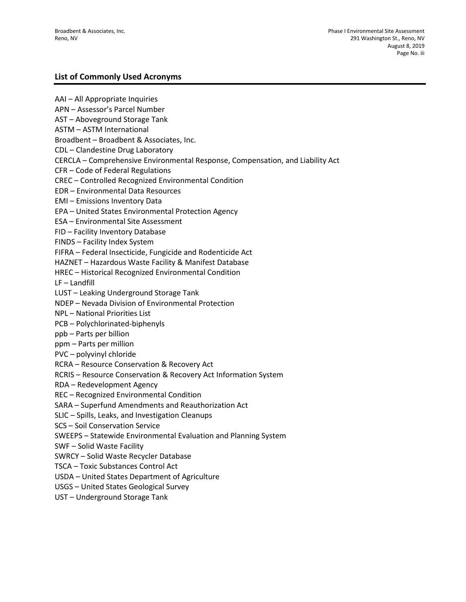#### **List of Commonly Used Acronyms**

AAI – All Appropriate Inquiries APN – Assessor's Parcel Number AST – Aboveground Storage Tank ASTM – ASTM International Broadbent – Broadbent & Associates, Inc. CDL – Clandestine Drug Laboratory CERCLA – Comprehensive Environmental Response, Compensation, and Liability Act CFR – Code of Federal Regulations CREC – Controlled Recognized Environmental Condition EDR – Environmental Data Resources EMI – Emissions Inventory Data EPA – United States Environmental Protection Agency ESA – Environmental Site Assessment FID – Facility Inventory Database FINDS – Facility Index System FIFRA – Federal Insecticide, Fungicide and Rodenticide Act HAZNET – Hazardous Waste Facility & Manifest Database HREC – Historical Recognized Environmental Condition LF – Landfill LUST – Leaking Underground Storage Tank NDEP – Nevada Division of Environmental Protection NPL – National Priorities List PCB – Polychlorinated-biphenyls ppb – Parts per billion ppm – Parts per million PVC – polyvinyl chloride RCRA – Resource Conservation & Recovery Act RCRIS – Resource Conservation & Recovery Act Information System RDA – Redevelopment Agency REC – Recognized Environmental Condition SARA – Superfund Amendments and Reauthorization Act SLIC – Spills, Leaks, and Investigation Cleanups SCS – Soil Conservation Service SWEEPS – Statewide Environmental Evaluation and Planning System SWF – Solid Waste Facility SWRCY – Solid Waste Recycler Database TSCA – Toxic Substances Control Act USDA – United States Department of Agriculture USGS – United States Geological Survey UST – Underground Storage Tank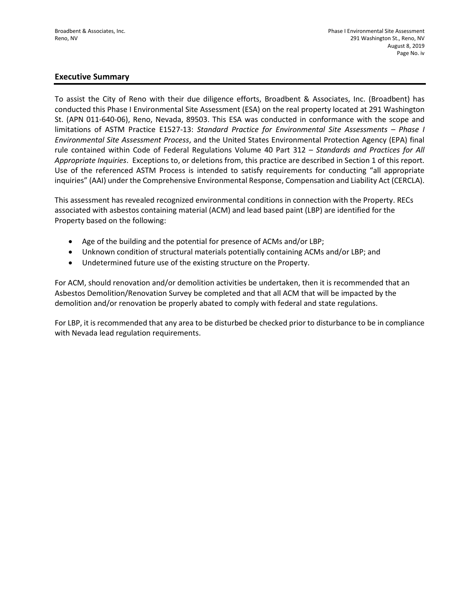#### **Executive Summary**

To assist the City of Reno with their due diligence efforts, Broadbent & Associates, Inc. (Broadbent) has conducted this Phase I Environmental Site Assessment (ESA) on the real property located at 291 Washington St. (APN 011-640-06), Reno, Nevada, 89503. This ESA was conducted in conformance with the scope and limitations of ASTM Practice E1527-13: *Standard Practice for Environmental Site Assessments – Phase I Environmental Site Assessment Process*, and the United States Environmental Protection Agency (EPA) final rule contained within Code of Federal Regulations Volume 40 Part 312 – *Standards and Practices for All Appropriate Inquiries*. Exceptions to, or deletions from, this practice are described in Section 1 of this report. Use of the referenced ASTM Process is intended to satisfy requirements for conducting "all appropriate inquiries" (AAI) under the Comprehensive Environmental Response, Compensation and Liability Act (CERCLA).

This assessment has revealed recognized environmental conditions in connection with the Property. RECs associated with asbestos containing material (ACM) and lead based paint (LBP) are identified for the Property based on the following:

- Age of the building and the potential for presence of ACMs and/or LBP;
- Unknown condition of structural materials potentially containing ACMs and/or LBP; and
- Undetermined future use of the existing structure on the Property.

For ACM, should renovation and/or demolition activities be undertaken, then it is recommended that an Asbestos Demolition/Renovation Survey be completed and that all ACM that will be impacted by the demolition and/or renovation be properly abated to comply with federal and state regulations.

For LBP, it is recommended that any area to be disturbed be checked prior to disturbance to be in compliance with Nevada lead regulation requirements.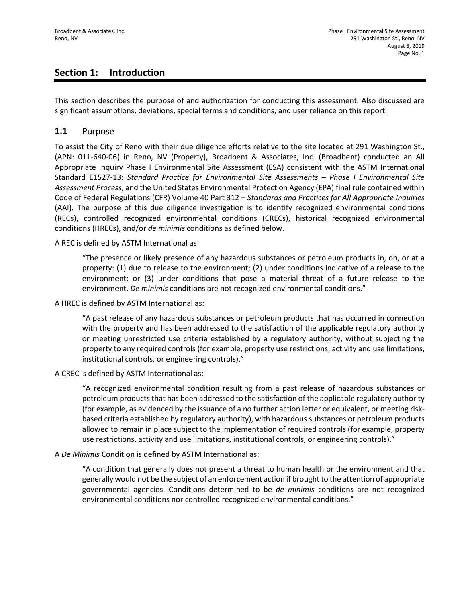## **Section 1: Introduction**

This section describes the purpose of and authorization for conducting this assessment. Also discussed are significant assumptions, deviations, special terms and conditions, and user reliance on this report.

#### **1.1** Purpose

To assist the City of Reno with their due diligence efforts relative to the site located at 291 Washington St., (APN: 011-640-06) in Reno, NV (Property), Broadbent & Associates, Inc. (Broadbent) conducted an All Appropriate Inquiry Phase I Environmental Site Assessment (ESA) consistent with the ASTM International Standard E1527-13: *Standard Practice for Environmental Site Assessments – Phase I Environmental Site Assessment Process*, and the United States Environmental Protection Agency (EPA) final rule contained within Code of Federal Regulations (CFR) Volume 40 Part 312 – *Standards and Practices for All Appropriate Inquiries*  (AAI). The purpose of this due diligence investigation is to identify recognized environmental conditions (RECs), controlled recognized environmental conditions (CRECs), historical recognized environmental conditions (HRECs), and/or *de minimis* conditions as defined below.

A REC is defined by ASTM International as:

"The presence or likely presence of any hazardous substances or petroleum products in, on, or at a property: (1) due to release to the environment; (2) under conditions indicative of a release to the environment; or (3) under conditions that pose a material threat of a future release to the environment. *De minimis* conditions are not recognized environmental conditions."

A HREC is defined by ASTM International as:

"A past release of any hazardous substances or petroleum products that has occurred in connection with the property and has been addressed to the satisfaction of the applicable regulatory authority or meeting unrestricted use criteria established by a regulatory authority, without subjecting the property to any required controls (for example, property use restrictions, activity and use limitations, institutional controls, or engineering controls)."

A CREC is defined by ASTM International as:

"A recognized environmental condition resulting from a past release of hazardous substances or petroleum products that has been addressed to the satisfaction of the applicable regulatory authority (for example, as evidenced by the issuance of a no further action letter or equivalent, or meeting riskbased criteria established by regulatory authority), with hazardous substances or petroleum products allowed to remain in place subject to the implementation of required controls (for example, property use restrictions, activity and use limitations, institutional controls, or engineering controls)."

A *De Minimis* Condition is defined by ASTM International as:

"A condition that generally does not present a threat to human health or the environment and that generally would not be the subject of an enforcement action if brought to the attention of appropriate governmental agencies. Conditions determined to be *de minimis* conditions are not recognized environmental conditions nor controlled recognized environmental conditions."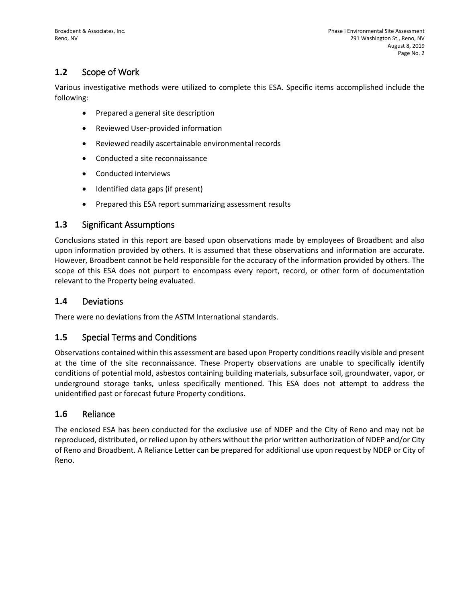## **1.2** Scope of Work

Various investigative methods were utilized to complete this ESA. Specific items accomplished include the following:

- Prepared a general site description
- Reviewed User-provided information
- Reviewed readily ascertainable environmental records
- Conducted a site reconnaissance
- Conducted interviews
- Identified data gaps (if present)
- Prepared this ESA report summarizing assessment results

#### **1.3** Significant Assumptions

Conclusions stated in this report are based upon observations made by employees of Broadbent and also upon information provided by others. It is assumed that these observations and information are accurate. However, Broadbent cannot be held responsible for the accuracy of the information provided by others. The scope of this ESA does not purport to encompass every report, record, or other form of documentation relevant to the Property being evaluated.

#### **1.4** Deviations

There were no deviations from the ASTM International standards.

#### **1.5** Special Terms and Conditions

Observations contained within this assessment are based upon Property conditions readily visible and present at the time of the site reconnaissance. These Property observations are unable to specifically identify conditions of potential mold, asbestos containing building materials, subsurface soil, groundwater, vapor, or underground storage tanks, unless specifically mentioned. This ESA does not attempt to address the unidentified past or forecast future Property conditions.

#### **1.6** Reliance

The enclosed ESA has been conducted for the exclusive use of NDEP and the City of Reno and may not be reproduced, distributed, or relied upon by others without the prior written authorization of NDEP and/or City of Reno and Broadbent. A Reliance Letter can be prepared for additional use upon request by NDEP or City of Reno.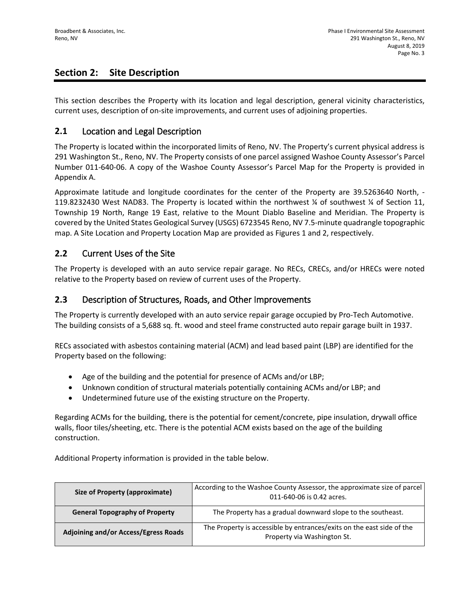## **Section 2: Site Description**

This section describes the Property with its location and legal description, general vicinity characteristics, current uses, description of on-site improvements, and current uses of adjoining properties.

#### **2.1** Location and Legal Description

The Property is located within the incorporated limits of Reno, NV. The Property's current physical address is 291 Washington St., Reno, NV. The Property consists of one parcel assigned Washoe County Assessor's Parcel Number 011-640-06. A copy of the Washoe County Assessor's Parcel Map for the Property is provided in Appendix A.

Approximate latitude and longitude coordinates for the center of the Property are 39.5263640 North, - 119.8232430 West NAD83. The Property is located within the northwest ¼ of southwest ¼ of Section 11, Township 19 North, Range 19 East, relative to the Mount Diablo Baseline and Meridian. The Property is covered by the United States Geological Survey (USGS) 6723545 Reno, NV 7.5-minute quadrangle topographic map. A Site Location and Property Location Map are provided as Figures 1 and 2, respectively.

#### **2.2** Current Uses of the Site

The Property is developed with an auto service repair garage. No RECs, CRECs, and/or HRECs were noted relative to the Property based on review of current uses of the Property.

#### **2.3** Description of Structures, Roads, and Other Improvements

The Property is currently developed with an auto service repair garage occupied by Pro-Tech Automotive. The building consists of a 5,688 sq. ft. wood and steel frame constructed auto repair garage built in 1937.

RECs associated with asbestos containing material (ACM) and lead based paint (LBP) are identified for the Property based on the following:

- Age of the building and the potential for presence of ACMs and/or LBP;
- Unknown condition of structural materials potentially containing ACMs and/or LBP; and
- Undetermined future use of the existing structure on the Property.

Regarding ACMs for the building, there is the potential for cement/concrete, pipe insulation, drywall office walls, floor tiles/sheeting, etc. There is the potential ACM exists based on the age of the building construction.

Additional Property information is provided in the table below.

| Size of Property (approximate)              | According to the Washoe County Assessor, the approximate size of parcel<br>011-640-06 is 0.42 acres. |
|---------------------------------------------|------------------------------------------------------------------------------------------------------|
| <b>General Topography of Property</b>       | The Property has a gradual downward slope to the southeast.                                          |
| <b>Adjoining and/or Access/Egress Roads</b> | The Property is accessible by entrances/exits on the east side of the<br>Property via Washington St. |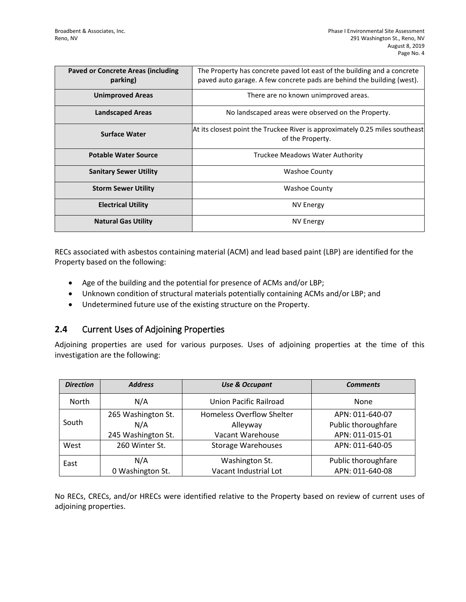| <b>Paved or Concrete Areas (including</b><br>parking) | The Property has concrete paved lot east of the building and a concrete<br>paved auto garage. A few concrete pads are behind the building (west). |
|-------------------------------------------------------|---------------------------------------------------------------------------------------------------------------------------------------------------|
| <b>Unimproved Areas</b>                               | There are no known unimproved areas.                                                                                                              |
| <b>Landscaped Areas</b>                               | No landscaped areas were observed on the Property.                                                                                                |
| <b>Surface Water</b>                                  | At its closest point the Truckee River is approximately 0.25 miles southeast<br>of the Property.                                                  |
| <b>Potable Water Source</b>                           | Truckee Meadows Water Authority                                                                                                                   |
| <b>Sanitary Sewer Utility</b>                         | Washoe County                                                                                                                                     |
| <b>Storm Sewer Utility</b>                            | <b>Washoe County</b>                                                                                                                              |
| <b>Electrical Utility</b>                             | NV Energy                                                                                                                                         |
| <b>Natural Gas Utility</b>                            | <b>NV Energy</b>                                                                                                                                  |

RECs associated with asbestos containing material (ACM) and lead based paint (LBP) are identified for the Property based on the following:

- Age of the building and the potential for presence of ACMs and/or LBP;
- Unknown condition of structural materials potentially containing ACMs and/or LBP; and
- Undetermined future use of the existing structure on the Property.

## **2.4** Current Uses of Adjoining Properties

Adjoining properties are used for various purposes. Uses of adjoining properties at the time of this investigation are the following:

| <b>Direction</b> | <b>Address</b>     | <b>Use &amp; Occupant</b>        |                     |
|------------------|--------------------|----------------------------------|---------------------|
| North            | N/A                | <b>Union Pacific Railroad</b>    | <b>None</b>         |
|                  | 265 Washington St. | <b>Homeless Overflow Shelter</b> | APN: 011-640-07     |
| South            | N/A                | Alleyway                         | Public thoroughfare |
|                  | 245 Washington St. | Vacant Warehouse                 | APN: 011-015-01     |
| West             | 260 Winter St.     | <b>Storage Warehouses</b>        | APN: 011-640-05     |
| East             | N/A                | Washington St.                   | Public thoroughfare |
|                  | 0 Washington St.   | Vacant Industrial Lot            | APN: 011-640-08     |

No RECs, CRECs, and/or HRECs were identified relative to the Property based on review of current uses of adjoining properties.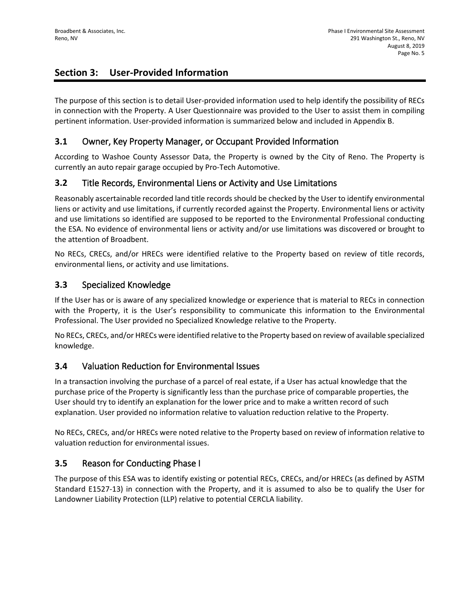## **Section 3: User-Provided Information**

The purpose of this section is to detail User-provided information used to help identify the possibility of RECs in connection with the Property. A User Questionnaire was provided to the User to assist them in compiling pertinent information. User-provided information is summarized below and included in Appendix B.

## **3.1** Owner, Key Property Manager, or Occupant Provided Information

According to Washoe County Assessor Data, the Property is owned by the City of Reno. The Property is currently an auto repair garage occupied by Pro-Tech Automotive.

## **3.2** Title Records, Environmental Liens or Activity and Use Limitations

Reasonably ascertainable recorded land title records should be checked by the User to identify environmental liens or activity and use limitations, if currently recorded against the Property. Environmental liens or activity and use limitations so identified are supposed to be reported to the Environmental Professional conducting the ESA. No evidence of environmental liens or activity and/or use limitations was discovered or brought to the attention of Broadbent.

No RECs, CRECs, and/or HRECs were identified relative to the Property based on review of title records, environmental liens, or activity and use limitations.

#### **3.3** Specialized Knowledge

If the User has or is aware of any specialized knowledge or experience that is material to RECs in connection with the Property, it is the User's responsibility to communicate this information to the Environmental Professional. The User provided no Specialized Knowledge relative to the Property.

No RECs, CRECs, and/or HRECs were identified relative to the Property based on review of available specialized knowledge.

#### **3.4** Valuation Reduction for Environmental Issues

In a transaction involving the purchase of a parcel of real estate, if a User has actual knowledge that the purchase price of the Property is significantly less than the purchase price of comparable properties, the User should try to identify an explanation for the lower price and to make a written record of such explanation. User provided no information relative to valuation reduction relative to the Property.

No RECs, CRECs, and/or HRECs were noted relative to the Property based on review of information relative to valuation reduction for environmental issues.

## **3.5** Reason for Conducting Phase I

The purpose of this ESA was to identify existing or potential RECs, CRECs, and/or HRECs (as defined by ASTM Standard E1527-13) in connection with the Property, and it is assumed to also be to qualify the User for Landowner Liability Protection (LLP) relative to potential CERCLA liability.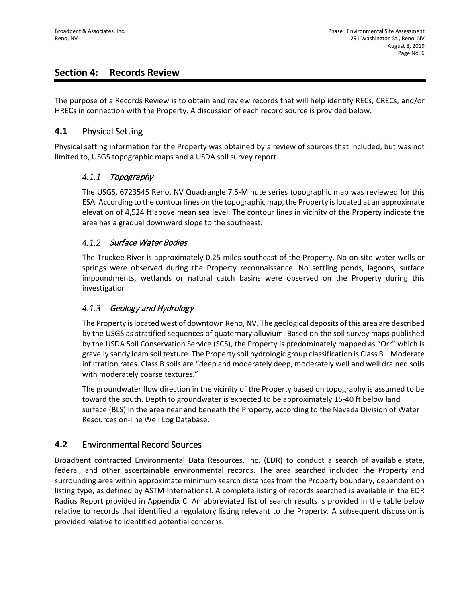## **Section 4: Records Review**

The purpose of a Records Review is to obtain and review records that will help identify RECs, CRECs, and/or HRECs in connection with the Property. A discussion of each record source is provided below.

#### **4.1** Physical Setting

Physical setting information for the Property was obtained by a review of sources that included, but was not limited to, USGS topographic maps and a USDA soil survey report.

#### $4.1.1$ Topography

The USGS, 6723545 Reno, NV Quadrangle 7.5-Minute series topographic map was reviewed for this ESA. According to the contour lines on the topographic map, the Property is located at an approximate elevation of 4,524 ft above mean sea level. The contour lines in vicinity of the Property indicate the area has a gradual downward slope to the southeast.

#### 4.1.2 Surface Water Bodies

The Truckee River is approximately 0.25 miles southeast of the Property. No on-site water wells or springs were observed during the Property reconnaissance. No settling ponds, lagoons, surface impoundments, wetlands or natural catch basins were observed on the Property during this investigation.

#### $4.1.3$ Geology and Hydrology

The Property is located west of downtown Reno, NV. The geological deposits of this area are described by the USGS as stratified sequences of quaternary alluvium. Based on the soil survey maps published by the USDA Soil Conservation Service (SCS), the Property is predominately mapped as "Orr" which is gravelly sandy loam soil texture. The Property soil hydrologic group classification is Class B – Moderate infiltration rates. Class B soils are "deep and moderately deep, moderately well and well drained soils with moderately coarse textures."

The groundwater flow direction in the vicinity of the Property based on topography is assumed to be toward the south. Depth to groundwater is expected to be approximately 15-40 ft below land surface (BLS) in the area near and beneath the Property, according to the Nevada Division of Water Resources on-line Well Log Database.

## **4.2** Environmental Record Sources

Broadbent contracted Environmental Data Resources, Inc. (EDR) to conduct a search of available state, federal, and other ascertainable environmental records. The area searched included the Property and surrounding area within approximate minimum search distances from the Property boundary, dependent on listing type, as defined by ASTM International. A complete listing of records searched is available in the EDR Radius Report provided in Appendix C. An abbreviated list of search results is provided in the table below relative to records that identified a regulatory listing relevant to the Property. A subsequent discussion is provided relative to identified potential concerns.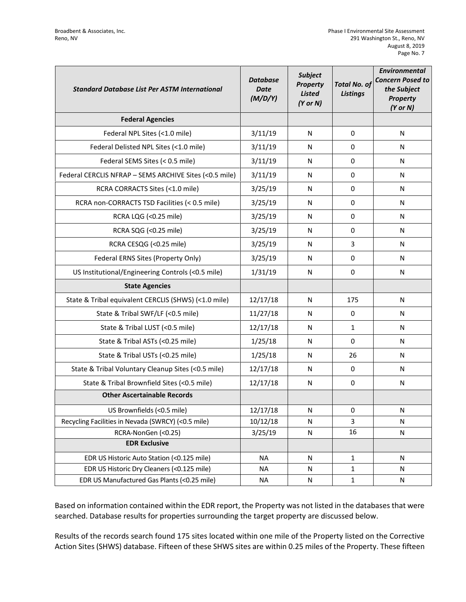| <b>Standard Database List Per ASTM International</b>   | <b>Database</b><br><b>Date</b><br>(M/D/Y) | <b>Subject</b><br><b>Property</b><br><b>Listed</b><br>$(Y$ or $N)$ | <b>Total No. of</b><br><b>Listings</b> | <b>Environmental</b><br><b>Concern Posed to</b><br>the Subject<br><b>Property</b><br>$(Y$ or $N)$ |
|--------------------------------------------------------|-------------------------------------------|--------------------------------------------------------------------|----------------------------------------|---------------------------------------------------------------------------------------------------|
| <b>Federal Agencies</b>                                |                                           |                                                                    |                                        |                                                                                                   |
| Federal NPL Sites (<1.0 mile)                          | 3/11/19                                   | N                                                                  | 0                                      | N                                                                                                 |
| Federal Delisted NPL Sites (<1.0 mile)                 | 3/11/19                                   | N                                                                  | 0                                      | N                                                                                                 |
| Federal SEMS Sites (< 0.5 mile)                        | 3/11/19                                   | N                                                                  | 0                                      | N                                                                                                 |
| Federal CERCLIS NFRAP - SEMS ARCHIVE Sites (<0.5 mile) | 3/11/19                                   | N                                                                  | 0                                      | N                                                                                                 |
| RCRA CORRACTS Sites (<1.0 mile)                        | 3/25/19                                   | N                                                                  | 0                                      | N                                                                                                 |
| RCRA non-CORRACTS TSD Facilities (< 0.5 mile)          | 3/25/19                                   | N                                                                  | 0                                      | N                                                                                                 |
| RCRA LQG (<0.25 mile)                                  | 3/25/19                                   | N                                                                  | 0                                      | N                                                                                                 |
| RCRA SQG (<0.25 mile)                                  | 3/25/19                                   | N                                                                  | 0                                      | N                                                                                                 |
| RCRA CESQG (<0.25 mile)                                | 3/25/19                                   | N                                                                  | 3                                      | N                                                                                                 |
| Federal ERNS Sites (Property Only)                     | 3/25/19                                   | N                                                                  | 0                                      | N                                                                                                 |
| US Institutional/Engineering Controls (<0.5 mile)      | 1/31/19                                   | N                                                                  | 0                                      | N                                                                                                 |
| <b>State Agencies</b>                                  |                                           |                                                                    |                                        |                                                                                                   |
| State & Tribal equivalent CERCLIS (SHWS) (<1.0 mile)   | 12/17/18                                  | N                                                                  | 175                                    | N                                                                                                 |
| State & Tribal SWF/LF (<0.5 mile)                      | 11/27/18                                  | N                                                                  | 0                                      | N                                                                                                 |
| State & Tribal LUST (<0.5 mile)                        | 12/17/18                                  | N                                                                  | $\mathbf{1}$                           | N                                                                                                 |
| State & Tribal ASTs (<0.25 mile)                       | 1/25/18                                   | N                                                                  | 0                                      | N                                                                                                 |
| State & Tribal USTs (<0.25 mile)                       | 1/25/18                                   | N                                                                  | 26                                     | N                                                                                                 |
| State & Tribal Voluntary Cleanup Sites (<0.5 mile)     | 12/17/18                                  | N                                                                  | 0                                      | N                                                                                                 |
| State & Tribal Brownfield Sites (<0.5 mile)            | 12/17/18                                  | N                                                                  | 0                                      | N                                                                                                 |
| <b>Other Ascertainable Records</b>                     |                                           |                                                                    |                                        |                                                                                                   |
| US Brownfields (<0.5 mile)                             | 12/17/18                                  | N                                                                  | 0                                      | N                                                                                                 |
| Recycling Facilities in Nevada (SWRCY) (<0.5 mile)     | 10/12/18                                  | N                                                                  | 3                                      | N                                                                                                 |
| RCRA-NonGen (<0.25)                                    | 3/25/19                                   | ${\sf N}$                                                          | 16                                     | N                                                                                                 |
| <b>EDR Exclusive</b>                                   |                                           |                                                                    |                                        |                                                                                                   |
| EDR US Historic Auto Station (<0.125 mile)             | <b>NA</b>                                 | ${\sf N}$                                                          | $\mathbf{1}$                           | $\mathsf{N}$                                                                                      |
| EDR US Historic Dry Cleaners (<0.125 mile)             | <b>NA</b>                                 | N                                                                  | $\mathbf{1}$                           | N                                                                                                 |
| EDR US Manufactured Gas Plants (<0.25 mile)            | <b>NA</b>                                 | N                                                                  | 1                                      | N                                                                                                 |

Based on information contained within the EDR report, the Property was not listed in the databases that were searched. Database results for properties surrounding the target property are discussed below.

Results of the records search found 175 sites located within one mile of the Property listed on the Corrective Action Sites (SHWS) database. Fifteen of these SHWS sites are within 0.25 miles of the Property. These fifteen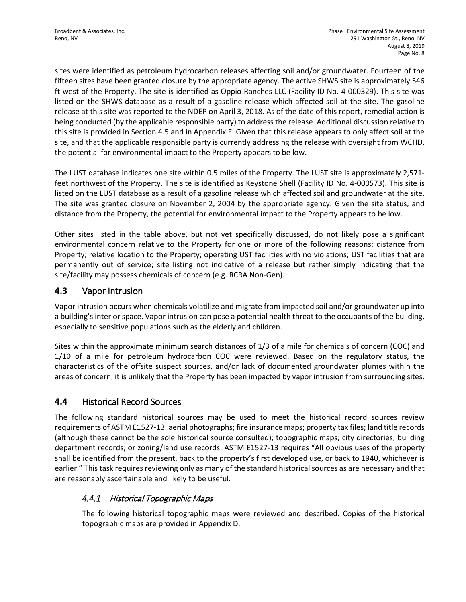sites were identified as petroleum hydrocarbon releases affecting soil and/or groundwater. Fourteen of the fifteen sites have been granted closure by the appropriate agency. The active SHWS site is approximately 546 ft west of the Property. The site is identified as Oppio Ranches LLC (Facility ID No. 4-000329). This site was listed on the SHWS database as a result of a gasoline release which affected soil at the site. The gasoline release at this site was reported to the NDEP on April 3, 2018. As of the date of this report, remedial action is being conducted (by the applicable responsible party) to address the release. Additional discussion relative to this site is provided in Section 4.5 and in Appendix E. Given that this release appears to only affect soil at the site, and that the applicable responsible party is currently addressing the release with oversight from WCHD, the potential for environmental impact to the Property appears to be low.

The LUST database indicates one site within 0.5 miles of the Property. The LUST site is approximately 2,571 feet northwest of the Property. The site is identified as Keystone Shell (Facility ID No. 4-000573). This site is listed on the LUST database as a result of a gasoline release which affected soil and groundwater at the site. The site was granted closure on November 2, 2004 by the appropriate agency. Given the site status, and distance from the Property, the potential for environmental impact to the Property appears to be low.

Other sites listed in the table above, but not yet specifically discussed, do not likely pose a significant environmental concern relative to the Property for one or more of the following reasons: distance from Property; relative location to the Property; operating UST facilities with no violations; UST facilities that are permanently out of service; site listing not indicative of a release but rather simply indicating that the site/facility may possess chemicals of concern (e.g. RCRA Non-Gen).

#### **4.3** Vapor Intrusion

Vapor intrusion occurs when chemicals volatilize and migrate from impacted soil and/or groundwater up into a building's interior space. Vapor intrusion can pose a potential health threat to the occupants of the building, especially to sensitive populations such as the elderly and children.

Sites within the approximate minimum search distances of 1/3 of a mile for chemicals of concern (COC) and 1/10 of a mile for petroleum hydrocarbon COC were reviewed. Based on the regulatory status, the characteristics of the offsite suspect sources, and/or lack of documented groundwater plumes within the areas of concern, it is unlikely that the Property has been impacted by vapor intrusion from surrounding sites.

## **4.4** Historical Record Sources

The following standard historical sources may be used to meet the historical record sources review requirements of ASTM E1527-13: aerial photographs; fire insurance maps; property tax files; land title records (although these cannot be the sole historical source consulted); topographic maps; city directories; building department records; or zoning/land use records. ASTM E1527-13 requires "All obvious uses of the property shall be identified from the present, back to the property's first developed use, or back to 1940, whichever is earlier." This task requires reviewing only as many of the standard historical sources as are necessary and that are reasonably ascertainable and likely to be useful.

#### Historical Topographic Maps  $4.4.1$

The following historical topographic maps were reviewed and described. Copies of the historical topographic maps are provided in Appendix D.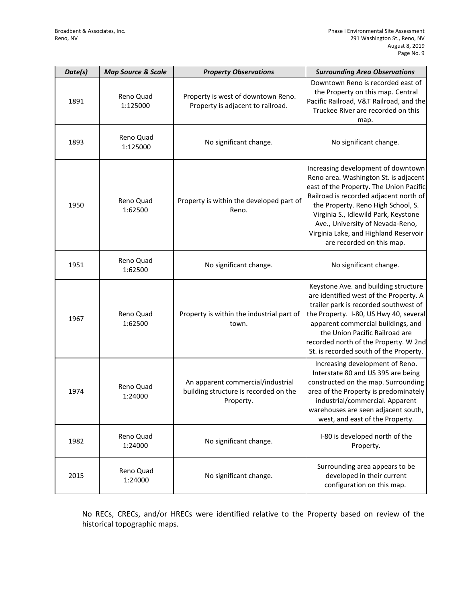| Date(s) | <b>Map Source &amp; Scale</b> | <b>Property Observations</b>                                                            | <b>Surrounding Area Observations</b>                                                                                                                                                                                                                                                                                                                     |
|---------|-------------------------------|-----------------------------------------------------------------------------------------|----------------------------------------------------------------------------------------------------------------------------------------------------------------------------------------------------------------------------------------------------------------------------------------------------------------------------------------------------------|
| 1891    | Reno Quad<br>1:125000         | Property is west of downtown Reno.<br>Property is adjacent to railroad.                 | Downtown Reno is recorded east of<br>the Property on this map. Central<br>Pacific Railroad, V&T Railroad, and the<br>Truckee River are recorded on this<br>map.                                                                                                                                                                                          |
| 1893    | Reno Quad<br>1:125000         | No significant change.                                                                  | No significant change.                                                                                                                                                                                                                                                                                                                                   |
| 1950    | Reno Quad<br>1:62500          | Property is within the developed part of<br>Reno.                                       | Increasing development of downtown<br>Reno area. Washington St. is adjacent<br>east of the Property. The Union Pacific<br>Railroad is recorded adjacent north of<br>the Property. Reno High School, S.<br>Virginia S., Idlewild Park, Keystone<br>Ave., University of Nevada-Reno,<br>Virginia Lake, and Highland Reservoir<br>are recorded on this map. |
| 1951    | Reno Quad<br>1:62500          | No significant change.                                                                  | No significant change.                                                                                                                                                                                                                                                                                                                                   |
| 1967    | Reno Quad<br>1:62500          | Property is within the industrial part of<br>town.                                      | Keystone Ave. and building structure<br>are identified west of the Property. A<br>trailer park is recorded southwest of<br>the Property. I-80, US Hwy 40, several<br>apparent commercial buildings, and<br>the Union Pacific Railroad are<br>recorded north of the Property. W 2nd<br>St. is recorded south of the Property.                             |
| 1974    | Reno Quad<br>1:24000          | An apparent commercial/industrial<br>building structure is recorded on the<br>Property. | Increasing development of Reno.<br>Interstate 80 and US 395 are being<br>constructed on the map. Surrounding<br>area of the Property is predominately<br>industrial/commercial. Apparent<br>warehouses are seen adjacent south,<br>west, and east of the Property.                                                                                       |
| 1982    | Reno Quad<br>1:24000          | No significant change.                                                                  | I-80 is developed north of the<br>Property.                                                                                                                                                                                                                                                                                                              |
| 2015    | Reno Quad<br>1:24000          | No significant change.                                                                  | Surrounding area appears to be<br>developed in their current<br>configuration on this map.                                                                                                                                                                                                                                                               |

No RECs, CRECs, and/or HRECs were identified relative to the Property based on review of the historical topographic maps.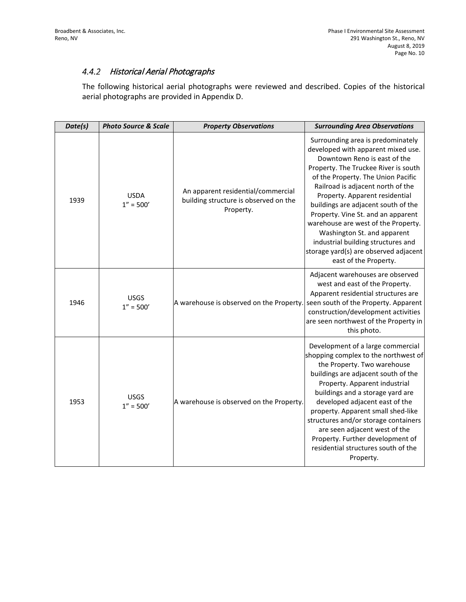#### 4.4.2 Historical Aerial Photographs

The following historical aerial photographs were reviewed and described. Copies of the historical aerial photographs are provided in Appendix D.

| Date(s) | <b>Photo Source &amp; Scale</b> | <b>Property Observations</b>                                                             | <b>Surrounding Area Observations</b>                                                                                                                                                                                                                                                                                                                                                                                                                                                                                    |
|---------|---------------------------------|------------------------------------------------------------------------------------------|-------------------------------------------------------------------------------------------------------------------------------------------------------------------------------------------------------------------------------------------------------------------------------------------------------------------------------------------------------------------------------------------------------------------------------------------------------------------------------------------------------------------------|
| 1939    | <b>USDA</b><br>$1'' = 500'$     | An apparent residential/commercial<br>building structure is observed on the<br>Property. | Surrounding area is predominately<br>developed with apparent mixed use.<br>Downtown Reno is east of the<br>Property. The Truckee River is south<br>of the Property. The Union Pacific<br>Railroad is adjacent north of the<br>Property. Apparent residential<br>buildings are adjacent south of the<br>Property. Vine St. and an apparent<br>warehouse are west of the Property.<br>Washington St. and apparent<br>industrial building structures and<br>storage yard(s) are observed adjacent<br>east of the Property. |
| 1946    | <b>USGS</b><br>$1'' = 500'$     | A warehouse is observed on the Property. seen south of the Property. Apparent            | Adjacent warehouses are observed<br>west and east of the Property.<br>Apparent residential structures are<br>construction/development activities<br>are seen northwest of the Property in<br>this photo.                                                                                                                                                                                                                                                                                                                |
| 1953    | <b>USGS</b><br>$1'' = 500'$     | A warehouse is observed on the Property.                                                 | Development of a large commercial<br>shopping complex to the northwest of<br>the Property. Two warehouse<br>buildings are adjacent south of the<br>Property. Apparent industrial<br>buildings and a storage yard are<br>developed adjacent east of the<br>property. Apparent small shed-like<br>structures and/or storage containers<br>are seen adjacent west of the<br>Property. Further development of<br>residential structures south of the<br>Property.                                                           |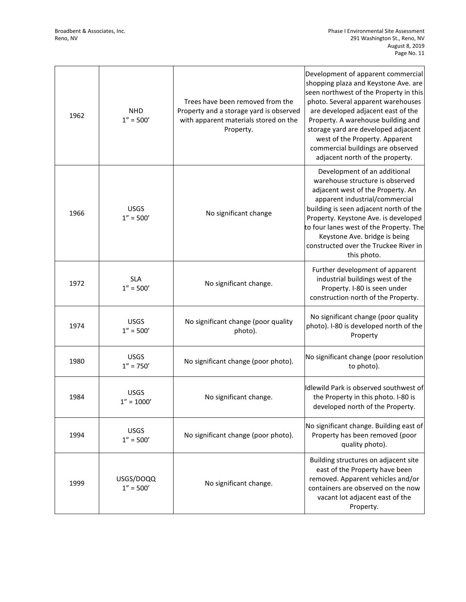| 1962 | <b>NHD</b><br>$1'' = 500'$   | Trees have been removed from the<br>Property and a storage yard is observed<br>with apparent materials stored on the<br>Property. | Development of apparent commercial<br>shopping plaza and Keystone Ave. are<br>seen northwest of the Property in this<br>photo. Several apparent warehouses<br>are developed adjacent east of the<br>Property. A warehouse building and<br>storage yard are developed adjacent<br>west of the Property. Apparent<br>commercial buildings are observed<br>adjacent north of the property. |
|------|------------------------------|-----------------------------------------------------------------------------------------------------------------------------------|-----------------------------------------------------------------------------------------------------------------------------------------------------------------------------------------------------------------------------------------------------------------------------------------------------------------------------------------------------------------------------------------|
| 1966 | <b>USGS</b><br>$1'' = 500'$  | No significant change                                                                                                             | Development of an additional<br>warehouse structure is observed<br>adjacent west of the Property. An<br>apparent industrial/commercial<br>building is seen adjacent north of the<br>Property. Keystone Ave. is developed<br>to four lanes west of the Property. The<br>Keystone Ave. bridge is being<br>constructed over the Truckee River in<br>this photo.                            |
| 1972 | <b>SLA</b><br>$1'' = 500'$   | No significant change.                                                                                                            | Further development of apparent<br>industrial buildings west of the<br>Property. I-80 is seen under<br>construction north of the Property.                                                                                                                                                                                                                                              |
| 1974 | <b>USGS</b><br>$1'' = 500'$  | No significant change (poor quality<br>photo).                                                                                    | No significant change (poor quality<br>photo). I-80 is developed north of the<br>Property                                                                                                                                                                                                                                                                                               |
| 1980 | <b>USGS</b><br>$1'' = 750'$  | No significant change (poor photo).                                                                                               | No significant change (poor resolution<br>to photo).                                                                                                                                                                                                                                                                                                                                    |
| 1984 | <b>USGS</b><br>$1'' = 1000'$ | No significant change.                                                                                                            | Idlewild Park is observed southwest of<br>the Property in this photo. I-80 is<br>developed north of the Property.                                                                                                                                                                                                                                                                       |
| 1994 | <b>USGS</b><br>$1'' = 500'$  | No significant change (poor photo).                                                                                               | No significant change. Building east of<br>Property has been removed (poor<br>quality photo).                                                                                                                                                                                                                                                                                           |
| 1999 | USGS/DOQQ<br>$1'' = 500'$    | No significant change.                                                                                                            | Building structures on adjacent site<br>east of the Property have been<br>removed. Apparent vehicles and/or<br>containers are observed on the now<br>vacant lot adjacent east of the<br>Property.                                                                                                                                                                                       |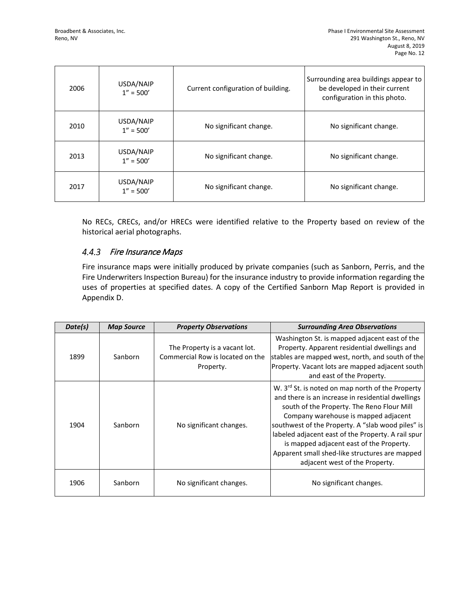| 2006 | USDA/NAIP<br>$1'' = 500'$ | Current configuration of building. | Surrounding area buildings appear to<br>be developed in their current<br>configuration in this photo. |
|------|---------------------------|------------------------------------|-------------------------------------------------------------------------------------------------------|
| 2010 | USDA/NAIP<br>$1'' = 500'$ | No significant change.             | No significant change.                                                                                |
| 2013 | USDA/NAIP<br>$1'' = 500'$ | No significant change.             | No significant change.                                                                                |
| 2017 | USDA/NAIP<br>$1'' = 500'$ | No significant change.             | No significant change.                                                                                |

No RECs, CRECs, and/or HRECs were identified relative to the Property based on review of the historical aerial photographs.

#### 4.4.3 Fire Insurance Maps

Fire insurance maps were initially produced by private companies (such as Sanborn, Perris, and the Fire Underwriters Inspection Bureau) for the insurance industry to provide information regarding the uses of properties at specified dates. A copy of the Certified Sanborn Map Report is provided in Appendix D.

| Date(s) | <b>Map Source</b> | <b>Property Observations</b>                                                   | <b>Surrounding Area Observations</b>                                                                                                                                                                                                                                                                                                                                                                                                               |
|---------|-------------------|--------------------------------------------------------------------------------|----------------------------------------------------------------------------------------------------------------------------------------------------------------------------------------------------------------------------------------------------------------------------------------------------------------------------------------------------------------------------------------------------------------------------------------------------|
| 1899    | Sanborn           | The Property is a vacant lot.<br>Commercial Row is located on the<br>Property. | Washington St. is mapped adjacent east of the<br>Property. Apparent residential dwellings and<br>stables are mapped west, north, and south of the<br>Property. Vacant lots are mapped adjacent south<br>and east of the Property.                                                                                                                                                                                                                  |
| 1904    | Sanborn           | No significant changes.                                                        | W. 3 <sup>rd</sup> St. is noted on map north of the Property<br>and there is an increase in residential dwellings<br>south of the Property. The Reno Flour Mill<br>Company warehouse is mapped adjacent<br>southwest of the Property. A "slab wood piles" is<br>labeled adjacent east of the Property. A rail spur<br>is mapped adjacent east of the Property.<br>Apparent small shed-like structures are mapped<br>adjacent west of the Property. |
| 1906    | Sanborn           | No significant changes.                                                        | No significant changes.                                                                                                                                                                                                                                                                                                                                                                                                                            |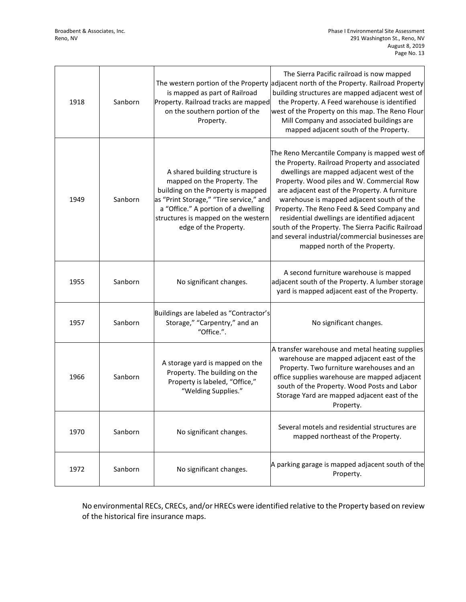| 1918 | Sanborn | is mapped as part of Railroad<br>Property. Railroad tracks are mapped<br>on the southern portion of the<br>Property.                                                                                                                                  | The Sierra Pacific railroad is now mapped<br>The western portion of the Property adjacent north of the Property. Railroad Property<br>building structures are mapped adjacent west of<br>the Property. A Feed warehouse is identified<br>west of the Property on this map. The Reno Flour<br>Mill Company and associated buildings are<br>mapped adjacent south of the Property.                                                                                                                                                    |
|------|---------|-------------------------------------------------------------------------------------------------------------------------------------------------------------------------------------------------------------------------------------------------------|-------------------------------------------------------------------------------------------------------------------------------------------------------------------------------------------------------------------------------------------------------------------------------------------------------------------------------------------------------------------------------------------------------------------------------------------------------------------------------------------------------------------------------------|
| 1949 | Sanborn | A shared building structure is<br>mapped on the Property. The<br>building on the Property is mapped<br>as "Print Storage," "Tire service," and<br>a "Office." A portion of a dwelling<br>structures is mapped on the western<br>edge of the Property. | The Reno Mercantile Company is mapped west of<br>the Property. Railroad Property and associated<br>dwellings are mapped adjacent west of the<br>Property. Wood piles and W. Commercial Row<br>are adjacent east of the Property. A furniture<br>warehouse is mapped adjacent south of the<br>Property. The Reno Feed & Seed Company and<br>residential dwellings are identified adjacent<br>south of the Property. The Sierra Pacific Railroad<br>and several industrial/commercial businesses are<br>mapped north of the Property. |
| 1955 | Sanborn | No significant changes.                                                                                                                                                                                                                               | A second furniture warehouse is mapped<br>adjacent south of the Property. A lumber storage<br>yard is mapped adjacent east of the Property.                                                                                                                                                                                                                                                                                                                                                                                         |
| 1957 | Sanborn | Buildings are labeled as "Contractor's<br>Storage," "Carpentry," and an<br>"Office.".                                                                                                                                                                 | No significant changes.                                                                                                                                                                                                                                                                                                                                                                                                                                                                                                             |
| 1966 | Sanborn | A storage yard is mapped on the<br>Property. The building on the<br>Property is labeled, "Office,"<br>"Welding Supplies."                                                                                                                             | A transfer warehouse and metal heating supplies<br>warehouse are mapped adjacent east of the<br>Property. Two furniture warehouses and an<br>office supplies warehouse are mapped adjacent<br>south of the Property. Wood Posts and Labor<br>Storage Yard are mapped adjacent east of the<br>Property.                                                                                                                                                                                                                              |
| 1970 | Sanborn | No significant changes.                                                                                                                                                                                                                               | Several motels and residential structures are<br>mapped northeast of the Property.                                                                                                                                                                                                                                                                                                                                                                                                                                                  |
| 1972 | Sanborn | No significant changes.                                                                                                                                                                                                                               | A parking garage is mapped adjacent south of the<br>Property.                                                                                                                                                                                                                                                                                                                                                                                                                                                                       |

No environmental RECs, CRECs, and/or HRECs were identified relative to the Property based on review of the historical fire insurance maps.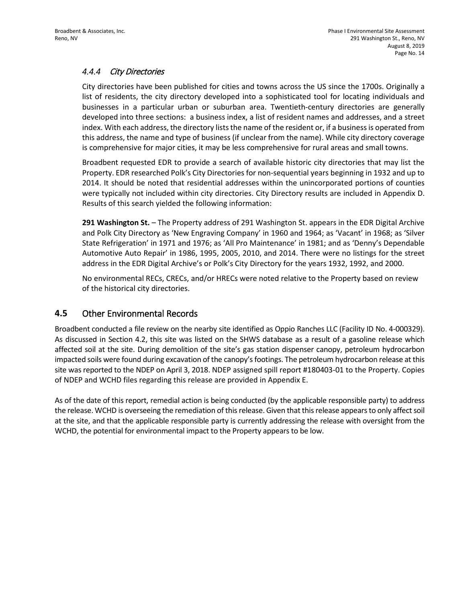#### $4.4.4$ City Directories

City directories have been published for cities and towns across the US since the 1700s. Originally a list of residents, the city directory developed into a sophisticated tool for locating individuals and businesses in a particular urban or suburban area. Twentieth-century directories are generally developed into three sections: a business index, a list of resident names and addresses, and a street index. With each address, the directory lists the name of the resident or, if a business is operated from this address, the name and type of business (if unclear from the name). While city directory coverage is comprehensive for major cities, it may be less comprehensive for rural areas and small towns.

Broadbent requested EDR to provide a search of available historic city directories that may list the Property. EDR researched Polk's City Directories for non-sequential years beginning in 1932 and up to 2014. It should be noted that residential addresses within the unincorporated portions of counties were typically not included within city directories. City Directory results are included in Appendix D. Results of this search yielded the following information:

**291 Washington St.** – The Property address of 291 Washington St. appears in the EDR Digital Archive and Polk City Directory as 'New Engraving Company' in 1960 and 1964; as 'Vacant' in 1968; as 'Silver State Refrigeration' in 1971 and 1976; as 'All Pro Maintenance' in 1981; and as 'Denny's Dependable Automotive Auto Repair' in 1986, 1995, 2005, 2010, and 2014. There were no listings for the street address in the EDR Digital Archive's or Polk's City Directory for the years 1932, 1992, and 2000.

No environmental RECs, CRECs, and/or HRECs were noted relative to the Property based on review of the historical city directories.

#### **4.5** Other Environmental Records

Broadbent conducted a file review on the nearby site identified as Oppio Ranches LLC (Facility ID No. 4-000329). As discussed in Section 4.2, this site was listed on the SHWS database as a result of a gasoline release which affected soil at the site. During demolition of the site's gas station dispenser canopy, petroleum hydrocarbon impacted soils were found during excavation of the canopy's footings. The petroleum hydrocarbon release at this site was reported to the NDEP on April 3, 2018. NDEP assigned spill report #180403-01 to the Property. Copies of NDEP and WCHD files regarding this release are provided in Appendix E.

As of the date of this report, remedial action is being conducted (by the applicable responsible party) to address the release. WCHD is overseeing the remediation of this release. Given that thisrelease appears to only affect soil at the site, and that the applicable responsible party is currently addressing the release with oversight from the WCHD, the potential for environmental impact to the Property appears to be low.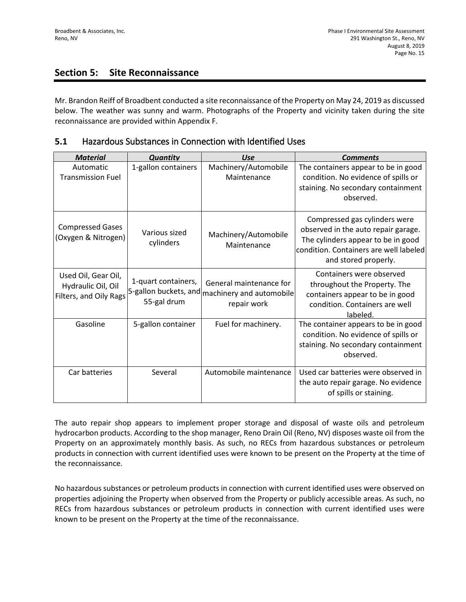## **Section 5: Site Reconnaissance**

Mr. Brandon Reiff of Broadbent conducted a site reconnaissance of the Property on May 24, 2019 as discussed below. The weather was sunny and warm. Photographs of the Property and vicinity taken during the site reconnaissance are provided within Appendix F.

| 5.1 | Hazardous Substances in Connection with Identified Uses |
|-----|---------------------------------------------------------|
|-----|---------------------------------------------------------|

| <b>Material</b>                                                     | <b>Quantity</b>                    | <b>Use</b>                                                                               | <b>Comments</b>                                                                                                                                                              |
|---------------------------------------------------------------------|------------------------------------|------------------------------------------------------------------------------------------|------------------------------------------------------------------------------------------------------------------------------------------------------------------------------|
| Automatic<br><b>Transmission Fuel</b>                               | 1-gallon containers                | Machinery/Automobile<br>Maintenance                                                      | The containers appear to be in good<br>condition. No evidence of spills or<br>staining. No secondary containment<br>observed.                                                |
| <b>Compressed Gases</b><br>(Oxygen & Nitrogen)                      | Various sized<br>cylinders         | Machinery/Automobile<br>Maintenance                                                      | Compressed gas cylinders were<br>observed in the auto repair garage.<br>The cylinders appear to be in good<br>condition. Containers are well labeled<br>and stored properly. |
| Used Oil, Gear Oil,<br>Hydraulic Oil, Oil<br>Filters, and Oily Rags | 1-quart containers,<br>55-gal drum | General maintenance for<br>5-gallon buckets, and machinery and automobile<br>repair work | Containers were observed<br>throughout the Property. The<br>containers appear to be in good<br>condition. Containers are well<br>labeled.                                    |
| Gasoline                                                            | 5-gallon container                 | Fuel for machinery.                                                                      | The container appears to be in good<br>condition. No evidence of spills or<br>staining. No secondary containment<br>observed.                                                |
| Car batteries                                                       | Several                            | Automobile maintenance                                                                   | Used car batteries were observed in<br>the auto repair garage. No evidence<br>of spills or staining.                                                                         |

The auto repair shop appears to implement proper storage and disposal of waste oils and petroleum hydrocarbon products. According to the shop manager, Reno Drain Oil (Reno, NV) disposes waste oil from the Property on an approximately monthly basis. As such, no RECs from hazardous substances or petroleum products in connection with current identified uses were known to be present on the Property at the time of the reconnaissance.

No hazardous substances or petroleum products in connection with current identified uses were observed on properties adjoining the Property when observed from the Property or publicly accessible areas. As such, no RECs from hazardous substances or petroleum products in connection with current identified uses were known to be present on the Property at the time of the reconnaissance.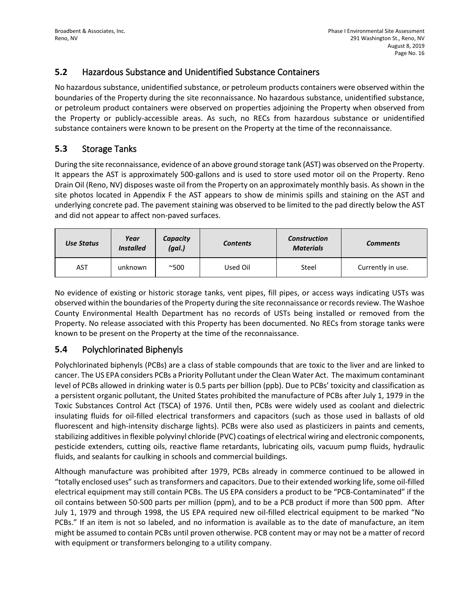## **5.2** Hazardous Substance and Unidentified Substance Containers

No hazardous substance, unidentified substance, or petroleum products containers were observed within the boundaries of the Property during the site reconnaissance. No hazardous substance, unidentified substance, or petroleum product containers were observed on properties adjoining the Property when observed from the Property or publicly-accessible areas. As such, no RECs from hazardous substance or unidentified substance containers were known to be present on the Property at the time of the reconnaissance.

## **5.3** Storage Tanks

During the site reconnaissance, evidence of an above ground storage tank (AST) was observed on the Property. It appears the AST is approximately 500-gallons and is used to store used motor oil on the Property. Reno Drain Oil (Reno, NV) disposes waste oil from the Property on an approximately monthly basis. As shown in the site photos located in Appendix F the AST appears to show de minimis spills and staining on the AST and underlying concrete pad. The pavement staining was observed to be limited to the pad directly below the AST and did not appear to affect non-paved surfaces.

| Use Status | Year<br><b>Installed</b> | Capacity<br>(gal.) | <b>Contents</b> | <b>Construction</b><br><b>Materials</b> | <b>Comments</b>   |
|------------|--------------------------|--------------------|-----------------|-----------------------------------------|-------------------|
| <b>AST</b> | unknown                  | $^{\sim}500$       | Used Oil        | Steel                                   | Currently in use. |

No evidence of existing or historic storage tanks, vent pipes, fill pipes, or access ways indicating USTs was observed within the boundaries of the Property during the site reconnaissance or records review. The Washoe County Environmental Health Department has no records of USTs being installed or removed from the Property. No release associated with this Property has been documented. No RECs from storage tanks were known to be present on the Property at the time of the reconnaissance.

## **5.4** Polychlorinated Biphenyls

Polychlorinated biphenyls (PCBs) are a class of stable compounds that are toxic to the liver and are linked to cancer. The US EPA considers PCBs a Priority Pollutant under the Clean Water Act. The maximum contaminant level of PCBs allowed in drinking water is 0.5 parts per billion (ppb). Due to PCBs' toxicity and classification as a persistent organic pollutant, the United States prohibited the manufacture of PCBs after July 1, 1979 in the Toxic Substances Control Act (TSCA) of 1976. Until then, PCBs were widely used as coolant and dielectric insulating fluids for oil-filled electrical transformers and capacitors (such as those used in ballasts of old fluorescent and high-intensity discharge lights). PCBs were also used as plasticizers in paints and cements, stabilizing additives in flexible polyvinyl chloride (PVC) coatings of electrical wiring and electronic components, pesticide extenders, cutting oils, reactive flame retardants, lubricating oils, vacuum pump fluids, hydraulic fluids, and sealants for caulking in schools and commercial buildings.

Although manufacture was prohibited after 1979, PCBs already in commerce continued to be allowed in "totally enclosed uses" such as transformers and capacitors. Due to their extended working life, some oil-filled electrical equipment may still contain PCBs. The US EPA considers a product to be "PCB-Contaminated" if the oil contains between 50-500 parts per million (ppm), and to be a PCB product if more than 500 ppm. After July 1, 1979 and through 1998, the US EPA required new oil-filled electrical equipment to be marked "No PCBs." If an item is not so labeled, and no information is available as to the date of manufacture, an item might be assumed to contain PCBs until proven otherwise. PCB content may or may not be a matter of record with equipment or transformers belonging to a utility company.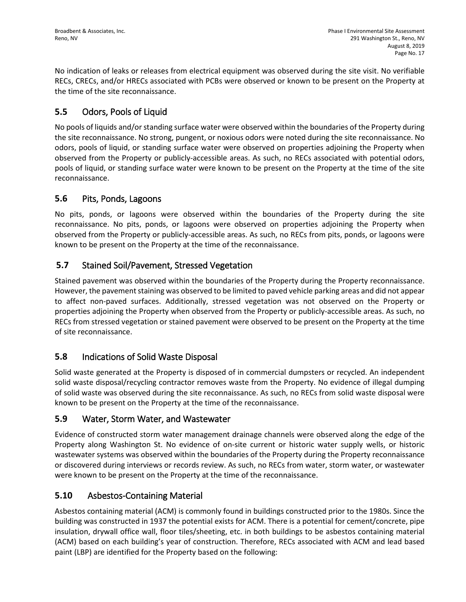No indication of leaks or releases from electrical equipment was observed during the site visit. No verifiable RECs, CRECs, and/or HRECs associated with PCBs were observed or known to be present on the Property at the time of the site reconnaissance.

## **5.5** Odors, Pools of Liquid

No pools of liquids and/or standing surface water were observed within the boundaries of the Property during the site reconnaissance. No strong, pungent, or noxious odors were noted during the site reconnaissance. No odors, pools of liquid, or standing surface water were observed on properties adjoining the Property when observed from the Property or publicly-accessible areas. As such, no RECs associated with potential odors, pools of liquid, or standing surface water were known to be present on the Property at the time of the site reconnaissance.

#### **5.6** Pits, Ponds, Lagoons

No pits, ponds, or lagoons were observed within the boundaries of the Property during the site reconnaissance. No pits, ponds, or lagoons were observed on properties adjoining the Property when observed from the Property or publicly-accessible areas. As such, no RECs from pits, ponds, or lagoons were known to be present on the Property at the time of the reconnaissance.

## **5.7** Stained Soil/Pavement, Stressed Vegetation

Stained pavement was observed within the boundaries of the Property during the Property reconnaissance. However, the pavement staining was observed to be limited to paved vehicle parking areas and did not appear to affect non-paved surfaces. Additionally, stressed vegetation was not observed on the Property or properties adjoining the Property when observed from the Property or publicly-accessible areas. As such, no RECs from stressed vegetation or stained pavement were observed to be present on the Property at the time of site reconnaissance.

## **5.8** Indications of Solid Waste Disposal

Solid waste generated at the Property is disposed of in commercial dumpsters or recycled. An independent solid waste disposal/recycling contractor removes waste from the Property. No evidence of illegal dumping of solid waste was observed during the site reconnaissance. As such, no RECs from solid waste disposal were known to be present on the Property at the time of the reconnaissance.

## **5.9** Water, Storm Water, and Wastewater

Evidence of constructed storm water management drainage channels were observed along the edge of the Property along Washington St. No evidence of on-site current or historic water supply wells, or historic wastewater systems was observed within the boundaries of the Property during the Property reconnaissance or discovered during interviews or records review. As such, no RECs from water, storm water, or wastewater were known to be present on the Property at the time of the reconnaissance.

## **5.10** Asbestos-Containing Material

Asbestos containing material (ACM) is commonly found in buildings constructed prior to the 1980s. Since the building was constructed in 1937 the potential exists for ACM. There is a potential for cement/concrete, pipe insulation, drywall office wall, floor tiles/sheeting, etc. in both buildings to be asbestos containing material (ACM) based on each building's year of construction. Therefore, RECs associated with ACM and lead based paint (LBP) are identified for the Property based on the following: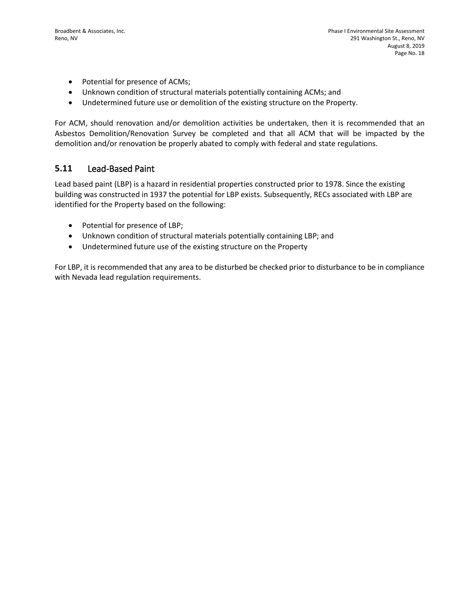- Potential for presence of ACMs;
- Unknown condition of structural materials potentially containing ACMs; and
- Undetermined future use or demolition of the existing structure on the Property.

For ACM, should renovation and/or demolition activities be undertaken, then it is recommended that an Asbestos Demolition/Renovation Survey be completed and that all ACM that will be impacted by the demolition and/or renovation be properly abated to comply with federal and state regulations.

#### **5.11** Lead-Based Paint

Lead based paint (LBP) is a hazard in residential properties constructed prior to 1978. Since the existing building was constructed in 1937 the potential for LBP exists. Subsequently, RECs associated with LBP are identified for the Property based on the following:

- Potential for presence of LBP;
- Unknown condition of structural materials potentially containing LBP; and
- Undetermined future use of the existing structure on the Property

For LBP, it is recommended that any area to be disturbed be checked prior to disturbance to be in compliance with Nevada lead regulation requirements.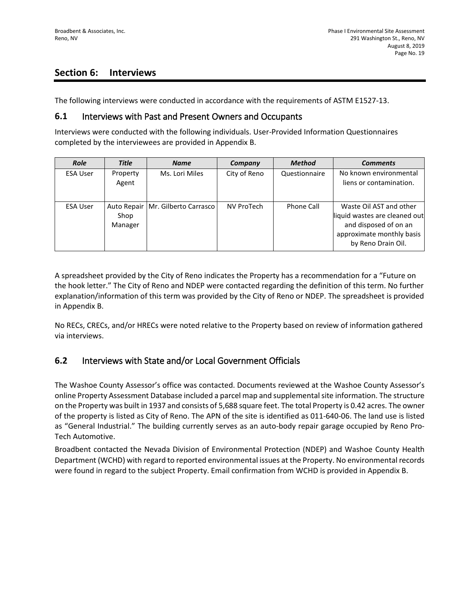## **Section 6: Interviews**

The following interviews were conducted in accordance with the requirements of ASTM E1527-13.

#### **6.1** Interviews with Past and Present Owners and Occupants

Interviews were conducted with the following individuals. User-Provided Information Questionnaires completed by the interviewees are provided in Appendix B.

| <b>Role</b>     | <b>Title</b>                   | <b>Name</b>           | Company      | <b>Method</b> | <b>Comments</b>                                                                                                                      |
|-----------------|--------------------------------|-----------------------|--------------|---------------|--------------------------------------------------------------------------------------------------------------------------------------|
| <b>ESA User</b> | Property<br>Agent              | Ms. Lori Miles        | City of Reno | Questionnaire | No known environmental<br>liens or contamination.                                                                                    |
| <b>ESA User</b> | Auto Repair<br>Shop<br>Manager | Mr. Gilberto Carrasco | NV ProTech   | Phone Call    | Waste Oil AST and other<br>liquid wastes are cleaned out<br>and disposed of on an<br>approximate monthly basis<br>by Reno Drain Oil. |

A spreadsheet provided by the City of Reno indicates the Property has a recommendation for a "Future on the hook letter." The City of Reno and NDEP were contacted regarding the definition of this term. No further explanation/information of this term was provided by the City of Reno or NDEP. The spreadsheet is provided in Appendix B.

No RECs, CRECs, and/or HRECs were noted relative to the Property based on review of information gathered via interviews.

## **6.2** Interviews with State and/or Local Government Officials

The Washoe County Assessor's office was contacted. Documents reviewed at the Washoe County Assessor's online Property Assessment Database included a parcel map and supplemental site information. The structure on the Property was built in 1937 and consists of 5,688 square feet. The total Property is 0.42 acres. The owner of the property is listed as City of Reno. The APN of the site is identified as 011-640-06. The land use is listed as "General Industrial." The building currently serves as an auto-body repair garage occupied by Reno Pro-Tech Automotive.

Broadbent contacted the Nevada Division of Environmental Protection (NDEP) and Washoe County Health Department (WCHD) with regard to reported environmental issues at the Property. No environmental records were found in regard to the subject Property. Email confirmation from WCHD is provided in Appendix B.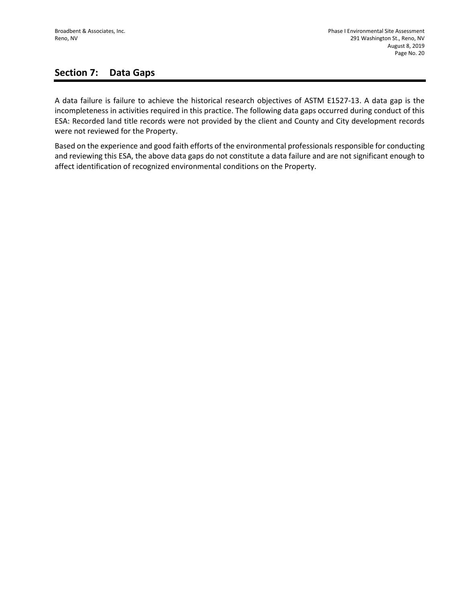## **Section 7: Data Gaps**

A data failure is failure to achieve the historical research objectives of ASTM E1527-13. A data gap is the incompleteness in activities required in this practice. The following data gaps occurred during conduct of this ESA: Recorded land title records were not provided by the client and County and City development records were not reviewed for the Property.

Based on the experience and good faith efforts of the environmental professionals responsible for conducting and reviewing this ESA, the above data gaps do not constitute a data failure and are not significant enough to affect identification of recognized environmental conditions on the Property.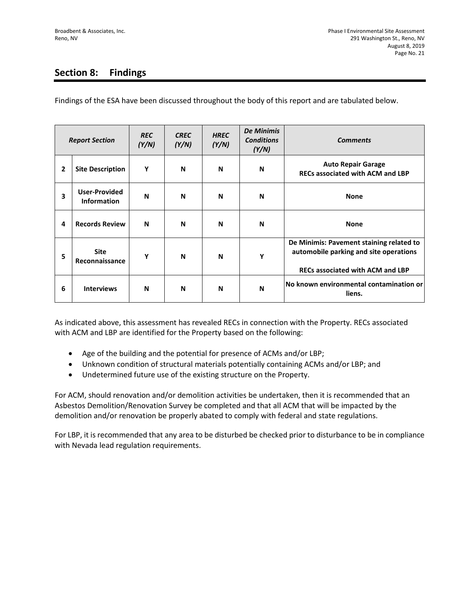## **Section 8: Findings**

Findings of the ESA have been discussed throughout the body of this report and are tabulated below.

| <b>Report Section</b> |                                            | <b>REC</b><br>(Y/N) | <b>CREC</b><br>(Y/N) | <b>HREC</b><br>(Y/N) | <b>De Minimis</b><br><b>Conditions</b><br>(Y/N) | <b>Comments</b>                                                                                                               |
|-----------------------|--------------------------------------------|---------------------|----------------------|----------------------|-------------------------------------------------|-------------------------------------------------------------------------------------------------------------------------------|
| $\mathbf{2}$          | <b>Site Description</b>                    | Υ                   | N                    | N                    | N                                               | <b>Auto Repair Garage</b><br><b>RECs associated with ACM and LBP</b>                                                          |
| 3                     | <b>User-Provided</b><br><b>Information</b> | N                   | N                    | N                    | N                                               | <b>None</b>                                                                                                                   |
| 4                     | <b>Records Review</b>                      | N                   | N                    | N                    | N                                               | <b>None</b>                                                                                                                   |
| 5                     | <b>Site</b><br>Reconnaissance              | Υ                   | N                    | N                    | Y                                               | De Minimis: Pavement staining related to<br>automobile parking and site operations<br><b>RECs associated with ACM and LBP</b> |
| 6                     | <b>Interviews</b>                          | N                   | N                    | N                    | N                                               | No known environmental contamination or<br>liens.                                                                             |

As indicated above, this assessment has revealed RECs in connection with the Property. RECs associated with ACM and LBP are identified for the Property based on the following:

- Age of the building and the potential for presence of ACMs and/or LBP;
- Unknown condition of structural materials potentially containing ACMs and/or LBP; and
- Undetermined future use of the existing structure on the Property.

For ACM, should renovation and/or demolition activities be undertaken, then it is recommended that an Asbestos Demolition/Renovation Survey be completed and that all ACM that will be impacted by the demolition and/or renovation be properly abated to comply with federal and state regulations.

For LBP, it is recommended that any area to be disturbed be checked prior to disturbance to be in compliance with Nevada lead regulation requirements.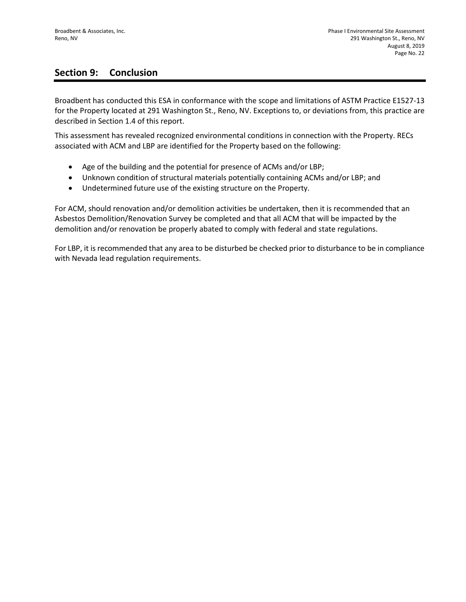## **Section 9: Conclusion**

Broadbent has conducted this ESA in conformance with the scope and limitations of ASTM Practice E1527-13 for the Property located at 291 Washington St., Reno, NV. Exceptions to, or deviations from, this practice are described in Section 1.4 of this report.

This assessment has revealed recognized environmental conditions in connection with the Property. RECs associated with ACM and LBP are identified for the Property based on the following:

- Age of the building and the potential for presence of ACMs and/or LBP;
- Unknown condition of structural materials potentially containing ACMs and/or LBP; and
- Undetermined future use of the existing structure on the Property.

For ACM, should renovation and/or demolition activities be undertaken, then it is recommended that an Asbestos Demolition/Renovation Survey be completed and that all ACM that will be impacted by the demolition and/or renovation be properly abated to comply with federal and state regulations.

For LBP, it is recommended that any area to be disturbed be checked prior to disturbance to be in compliance with Nevada lead regulation requirements.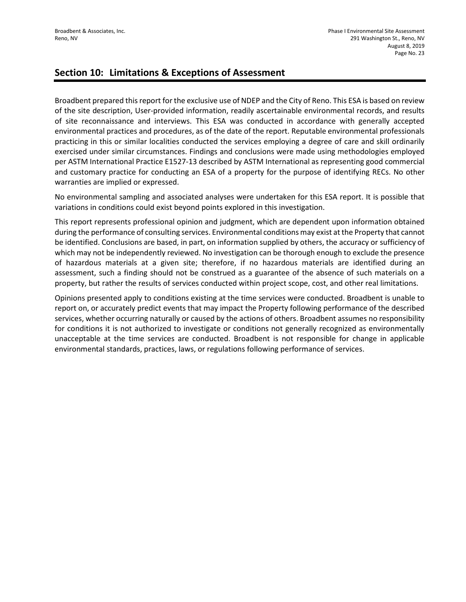## **Section 10: Limitations & Exceptions of Assessment**

Broadbent prepared this report for the exclusive use of NDEP and the City of Reno. This ESA is based on review of the site description, User-provided information, readily ascertainable environmental records, and results of site reconnaissance and interviews. This ESA was conducted in accordance with generally accepted environmental practices and procedures, as of the date of the report. Reputable environmental professionals practicing in this or similar localities conducted the services employing a degree of care and skill ordinarily exercised under similar circumstances. Findings and conclusions were made using methodologies employed per ASTM International Practice E1527-13 described by ASTM International as representing good commercial and customary practice for conducting an ESA of a property for the purpose of identifying RECs. No other warranties are implied or expressed.

No environmental sampling and associated analyses were undertaken for this ESA report. It is possible that variations in conditions could exist beyond points explored in this investigation.

This report represents professional opinion and judgment, which are dependent upon information obtained during the performance of consulting services. Environmental conditions may exist at the Property that cannot be identified. Conclusions are based, in part, on information supplied by others, the accuracy or sufficiency of which may not be independently reviewed. No investigation can be thorough enough to exclude the presence of hazardous materials at a given site; therefore, if no hazardous materials are identified during an assessment, such a finding should not be construed as a guarantee of the absence of such materials on a property, but rather the results of services conducted within project scope, cost, and other real limitations.

Opinions presented apply to conditions existing at the time services were conducted. Broadbent is unable to report on, or accurately predict events that may impact the Property following performance of the described services, whether occurring naturally or caused by the actions of others. Broadbent assumes no responsibility for conditions it is not authorized to investigate or conditions not generally recognized as environmentally unacceptable at the time services are conducted. Broadbent is not responsible for change in applicable environmental standards, practices, laws, or regulations following performance of services.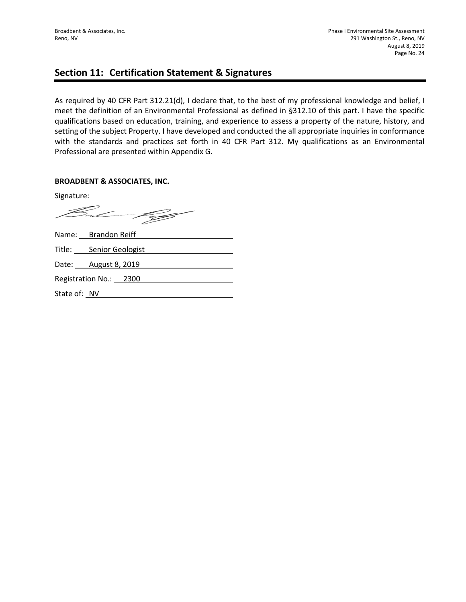## **Section 11: Certification Statement & Signatures**

As required by 40 CFR Part 312.21(d), I declare that, to the best of my professional knowledge and belief, I meet the definition of an Environmental Professional as defined in §312.10 of this part. I have the specific qualifications based on education, training, and experience to assess a property of the nature, history, and setting of the subject Property. I have developed and conducted the all appropriate inquiries in conformance with the standards and practices set forth in 40 CFR Part 312. My qualifications as an Environmental Professional are presented within Appendix G.

#### **BROADBENT & ASSOCIATES, INC.**

Signature:

But 199

|              | Name: Brandon Reiff     |
|--------------|-------------------------|
|              | Title: Senior Geologist |
|              | Date: August 8, 2019    |
|              | Registration No.: 2300  |
| State of: NV |                         |